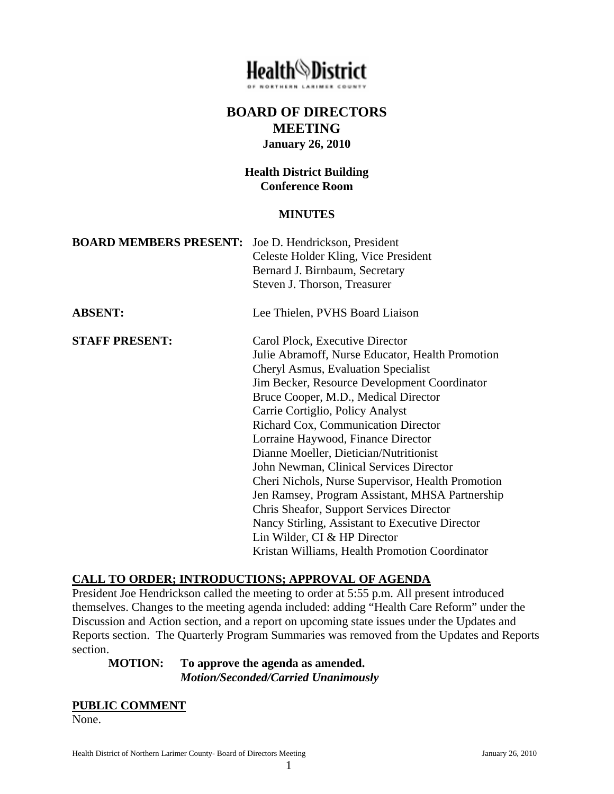# **Health**<sup>@</sup>District

# **BOARD OF DIRECTORS MEETING January 26, 2010**

## **Health District Building Conference Room**

#### **MINUTES**

| <b>BOARD MEMBERS PRESENT:</b> Joe D. Hendrickson, President |                                                   |
|-------------------------------------------------------------|---------------------------------------------------|
|                                                             | Celeste Holder Kling, Vice President              |
|                                                             | Bernard J. Birnbaum, Secretary                    |
|                                                             | Steven J. Thorson, Treasurer                      |
| <b>ABSENT:</b>                                              | Lee Thielen, PVHS Board Liaison                   |
| <b>STAFF PRESENT:</b>                                       | Carol Plock, Executive Director                   |
|                                                             | Julie Abramoff, Nurse Educator, Health Promotion  |
|                                                             | Cheryl Asmus, Evaluation Specialist               |
|                                                             | Jim Becker, Resource Development Coordinator      |
|                                                             | Bruce Cooper, M.D., Medical Director              |
|                                                             | Carrie Cortiglio, Policy Analyst                  |
|                                                             | Richard Cox, Communication Director               |
|                                                             | Lorraine Haywood, Finance Director                |
|                                                             | Dianne Moeller, Dietician/Nutritionist            |
|                                                             | John Newman, Clinical Services Director           |
|                                                             | Cheri Nichols, Nurse Supervisor, Health Promotion |
|                                                             | Jen Ramsey, Program Assistant, MHSA Partnership   |
|                                                             | Chris Sheafor, Support Services Director          |
|                                                             | Nancy Stirling, Assistant to Executive Director   |
|                                                             | Lin Wilder, CI & HP Director                      |
|                                                             | Kristan Williams, Health Promotion Coordinator    |

# **CALL TO ORDER; INTRODUCTIONS; APPROVAL OF AGENDA**

President Joe Hendrickson called the meeting to order at 5:55 p.m. All present introduced themselves. Changes to the meeting agenda included: adding "Health Care Reform" under the Discussion and Action section, and a report on upcoming state issues under the Updates and Reports section. The Quarterly Program Summaries was removed from the Updates and Reports section.

## **MOTION: To approve the agenda as amended.**   *Motion/Seconded/Carried Unanimously*

#### **PUBLIC COMMENT**

None.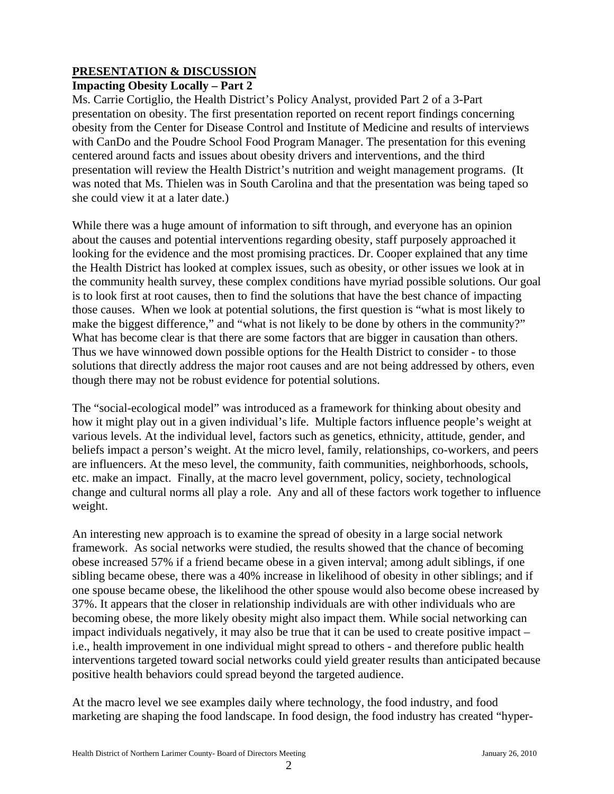# **PRESENTATION & DISCUSSION**

# **Impacting Obesity Locally – Part 2**

Ms. Carrie Cortiglio, the Health District's Policy Analyst, provided Part 2 of a 3-Part presentation on obesity. The first presentation reported on recent report findings concerning obesity from the Center for Disease Control and Institute of Medicine and results of interviews with CanDo and the Poudre School Food Program Manager. The presentation for this evening centered around facts and issues about obesity drivers and interventions, and the third presentation will review the Health District's nutrition and weight management programs. (It was noted that Ms. Thielen was in South Carolina and that the presentation was being taped so she could view it at a later date.)

While there was a huge amount of information to sift through, and everyone has an opinion about the causes and potential interventions regarding obesity, staff purposely approached it looking for the evidence and the most promising practices. Dr. Cooper explained that any time the Health District has looked at complex issues, such as obesity, or other issues we look at in the community health survey, these complex conditions have myriad possible solutions. Our goal is to look first at root causes, then to find the solutions that have the best chance of impacting those causes. When we look at potential solutions, the first question is "what is most likely to make the biggest difference," and "what is not likely to be done by others in the community?" What has become clear is that there are some factors that are bigger in causation than others. Thus we have winnowed down possible options for the Health District to consider - to those solutions that directly address the major root causes and are not being addressed by others, even though there may not be robust evidence for potential solutions.

The "social-ecological model" was introduced as a framework for thinking about obesity and how it might play out in a given individual's life. Multiple factors influence people's weight at various levels. At the individual level, factors such as genetics, ethnicity, attitude, gender, and beliefs impact a person's weight. At the micro level, family, relationships, co-workers, and peers are influencers. At the meso level, the community, faith communities, neighborhoods, schools, etc. make an impact. Finally, at the macro level government, policy, society, technological change and cultural norms all play a role. Any and all of these factors work together to influence weight.

An interesting new approach is to examine the spread of obesity in a large social network framework. As social networks were studied, the results showed that the chance of becoming obese increased 57% if a friend became obese in a given interval; among adult siblings, if one sibling became obese, there was a 40% increase in likelihood of obesity in other siblings; and if one spouse became obese, the likelihood the other spouse would also become obese increased by 37%. It appears that the closer in relationship individuals are with other individuals who are becoming obese, the more likely obesity might also impact them. While social networking can impact individuals negatively, it may also be true that it can be used to create positive impact – i.e., health improvement in one individual might spread to others - and therefore public health interventions targeted toward social networks could yield greater results than anticipated because positive health behaviors could spread beyond the targeted audience.

At the macro level we see examples daily where technology, the food industry, and food marketing are shaping the food landscape. In food design, the food industry has created "hyper-

2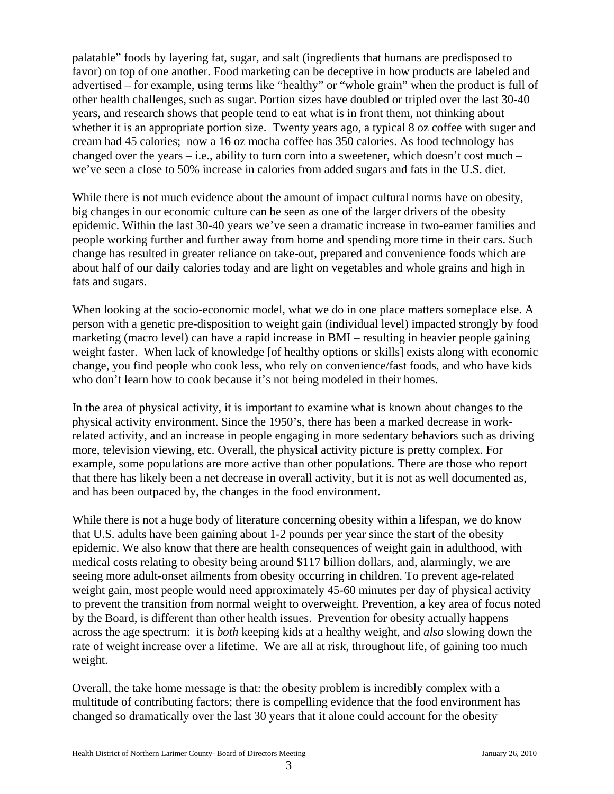palatable" foods by layering fat, sugar, and salt (ingredients that humans are predisposed to favor) on top of one another. Food marketing can be deceptive in how products are labeled and advertised – for example, using terms like "healthy" or "whole grain" when the product is full of other health challenges, such as sugar. Portion sizes have doubled or tripled over the last 30-40 years, and research shows that people tend to eat what is in front them, not thinking about whether it is an appropriate portion size. Twenty years ago, a typical 8 oz coffee with suger and cream had 45 calories; now a 16 oz mocha coffee has 350 calories. As food technology has changed over the years – i.e., ability to turn corn into a sweetener, which doesn't cost much – we've seen a close to 50% increase in calories from added sugars and fats in the U.S. diet.

While there is not much evidence about the amount of impact cultural norms have on obesity, big changes in our economic culture can be seen as one of the larger drivers of the obesity epidemic. Within the last 30-40 years we've seen a dramatic increase in two-earner families and people working further and further away from home and spending more time in their cars. Such change has resulted in greater reliance on take-out, prepared and convenience foods which are about half of our daily calories today and are light on vegetables and whole grains and high in fats and sugars.

When looking at the socio-economic model, what we do in one place matters someplace else. A person with a genetic pre-disposition to weight gain (individual level) impacted strongly by food marketing (macro level) can have a rapid increase in BMI – resulting in heavier people gaining weight faster. When lack of knowledge [of healthy options or skills] exists along with economic change, you find people who cook less, who rely on convenience/fast foods, and who have kids who don't learn how to cook because it's not being modeled in their homes.

In the area of physical activity, it is important to examine what is known about changes to the physical activity environment. Since the 1950's, there has been a marked decrease in workrelated activity, and an increase in people engaging in more sedentary behaviors such as driving more, television viewing, etc. Overall, the physical activity picture is pretty complex. For example, some populations are more active than other populations. There are those who report that there has likely been a net decrease in overall activity, but it is not as well documented as, and has been outpaced by, the changes in the food environment.

While there is not a huge body of literature concerning obesity within a lifespan, we do know that U.S. adults have been gaining about 1-2 pounds per year since the start of the obesity epidemic. We also know that there are health consequences of weight gain in adulthood, with medical costs relating to obesity being around \$117 billion dollars, and, alarmingly, we are seeing more adult-onset ailments from obesity occurring in children. To prevent age-related weight gain, most people would need approximately 45-60 minutes per day of physical activity to prevent the transition from normal weight to overweight. Prevention, a key area of focus noted by the Board, is different than other health issues. Prevention for obesity actually happens across the age spectrum: it is *both* keeping kids at a healthy weight, and *also* slowing down the rate of weight increase over a lifetime. We are all at risk, throughout life, of gaining too much weight.

Overall, the take home message is that: the obesity problem is incredibly complex with a multitude of contributing factors; there is compelling evidence that the food environment has changed so dramatically over the last 30 years that it alone could account for the obesity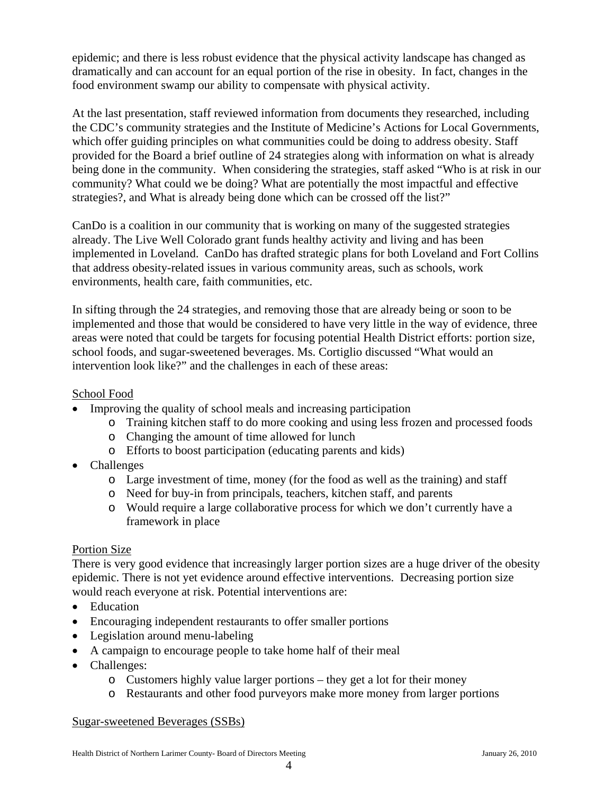epidemic; and there is less robust evidence that the physical activity landscape has changed as dramatically and can account for an equal portion of the rise in obesity. In fact, changes in the food environment swamp our ability to compensate with physical activity.

At the last presentation, staff reviewed information from documents they researched, including the CDC's community strategies and the Institute of Medicine's Actions for Local Governments, which offer guiding principles on what communities could be doing to address obesity. Staff provided for the Board a brief outline of 24 strategies along with information on what is already being done in the community. When considering the strategies, staff asked "Who is at risk in our community? What could we be doing? What are potentially the most impactful and effective strategies?, and What is already being done which can be crossed off the list?"

CanDo is a coalition in our community that is working on many of the suggested strategies already. The Live Well Colorado grant funds healthy activity and living and has been implemented in Loveland. CanDo has drafted strategic plans for both Loveland and Fort Collins that address obesity-related issues in various community areas, such as schools, work environments, health care, faith communities, etc.

In sifting through the 24 strategies, and removing those that are already being or soon to be implemented and those that would be considered to have very little in the way of evidence, three areas were noted that could be targets for focusing potential Health District efforts: portion size, school foods, and sugar-sweetened beverages. Ms. Cortiglio discussed "What would an intervention look like?" and the challenges in each of these areas:

## School Food

- Improving the quality of school meals and increasing participation
	- o Training kitchen staff to do more cooking and using less frozen and processed foods
	- o Changing the amount of time allowed for lunch
	- o Efforts to boost participation (educating parents and kids)
- Challenges
	- o Large investment of time, money (for the food as well as the training) and staff
	- o Need for buy-in from principals, teachers, kitchen staff, and parents
	- o Would require a large collaborative process for which we don't currently have a framework in place

## Portion Size

There is very good evidence that increasingly larger portion sizes are a huge driver of the obesity epidemic. There is not yet evidence around effective interventions. Decreasing portion size would reach everyone at risk. Potential interventions are:

- Education
- Encouraging independent restaurants to offer smaller portions
- Legislation around menu-labeling
- A campaign to encourage people to take home half of their meal
- Challenges:
	- o Customers highly value larger portions they get a lot for their money
	- o Restaurants and other food purveyors make more money from larger portions

## Sugar-sweetened Beverages (SSBs)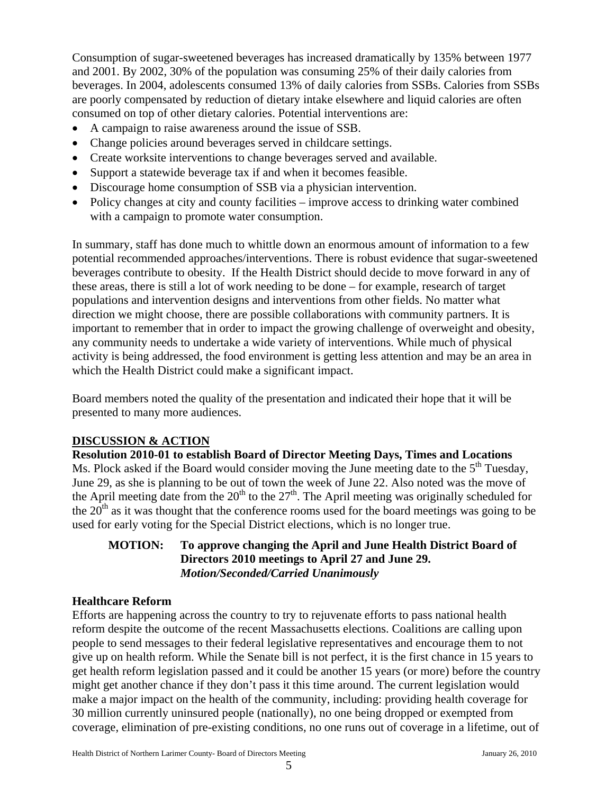Consumption of sugar-sweetened beverages has increased dramatically by 135% between 1977 and 2001. By 2002, 30% of the population was consuming 25% of their daily calories from beverages. In 2004, adolescents consumed 13% of daily calories from SSBs. Calories from SSBs are poorly compensated by reduction of dietary intake elsewhere and liquid calories are often consumed on top of other dietary calories. Potential interventions are:

- A campaign to raise awareness around the issue of SSB.
- Change policies around beverages served in childcare settings.
- Create worksite interventions to change beverages served and available.
- Support a statewide beverage tax if and when it becomes feasible.
- Discourage home consumption of SSB via a physician intervention.
- Policy changes at city and county facilities improve access to drinking water combined with a campaign to promote water consumption.

In summary, staff has done much to whittle down an enormous amount of information to a few potential recommended approaches/interventions. There is robust evidence that sugar-sweetened beverages contribute to obesity. If the Health District should decide to move forward in any of these areas, there is still a lot of work needing to be done – for example, research of target populations and intervention designs and interventions from other fields. No matter what direction we might choose, there are possible collaborations with community partners. It is important to remember that in order to impact the growing challenge of overweight and obesity, any community needs to undertake a wide variety of interventions. While much of physical activity is being addressed, the food environment is getting less attention and may be an area in which the Health District could make a significant impact.

Board members noted the quality of the presentation and indicated their hope that it will be presented to many more audiences.

## **DISCUSSION & ACTION**

**Resolution 2010-01 to establish Board of Director Meeting Days, Times and Locations**  Ms. Plock asked if the Board would consider moving the June meeting date to the  $5<sup>th</sup>$  Tuesday, June 29, as she is planning to be out of town the week of June 22. Also noted was the move of the April meeting date from the  $20<sup>th</sup>$  to the  $27<sup>th</sup>$ . The April meeting was originally scheduled for the  $20<sup>th</sup>$  as it was thought that the conference rooms used for the board meetings was going to be used for early voting for the Special District elections, which is no longer true.

## **MOTION: To approve changing the April and June Health District Board of Directors 2010 meetings to April 27 and June 29.**   *Motion/Seconded/Carried Unanimously*

## **Healthcare Reform**

Efforts are happening across the country to try to rejuvenate efforts to pass national health reform despite the outcome of the recent Massachusetts elections. Coalitions are calling upon people to send messages to their federal legislative representatives and encourage them to not give up on health reform. While the Senate bill is not perfect, it is the first chance in 15 years to get health reform legislation passed and it could be another 15 years (or more) before the country might get another chance if they don't pass it this time around. The current legislation would make a major impact on the health of the community, including: providing health coverage for 30 million currently uninsured people (nationally), no one being dropped or exempted from coverage, elimination of pre-existing conditions, no one runs out of coverage in a lifetime, out of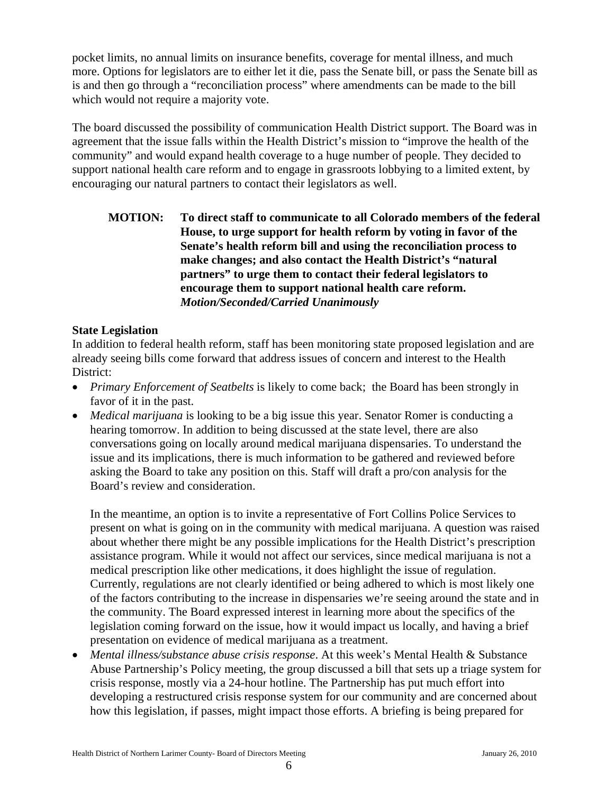pocket limits, no annual limits on insurance benefits, coverage for mental illness, and much more. Options for legislators are to either let it die, pass the Senate bill, or pass the Senate bill as is and then go through a "reconciliation process" where amendments can be made to the bill which would not require a majority vote.

The board discussed the possibility of communication Health District support. The Board was in agreement that the issue falls within the Health District's mission to "improve the health of the community" and would expand health coverage to a huge number of people. They decided to support national health care reform and to engage in grassroots lobbying to a limited extent, by encouraging our natural partners to contact their legislators as well.

## **MOTION: To direct staff to communicate to all Colorado members of the federal House, to urge support for health reform by voting in favor of the Senate's health reform bill and using the reconciliation process to make changes; and also contact the Health District's "natural partners" to urge them to contact their federal legislators to encourage them to support national health care reform.**   *Motion/Seconded/Carried Unanimously*

#### **State Legislation**

In addition to federal health reform, staff has been monitoring state proposed legislation and are already seeing bills come forward that address issues of concern and interest to the Health District:

- *Primary Enforcement of Seatbelts* is likely to come back; the Board has been strongly in favor of it in the past.
- *Medical marijuana* is looking to be a big issue this year. Senator Romer is conducting a hearing tomorrow. In addition to being discussed at the state level, there are also conversations going on locally around medical marijuana dispensaries. To understand the issue and its implications, there is much information to be gathered and reviewed before asking the Board to take any position on this. Staff will draft a pro/con analysis for the Board's review and consideration.

In the meantime, an option is to invite a representative of Fort Collins Police Services to present on what is going on in the community with medical marijuana. A question was raised about whether there might be any possible implications for the Health District's prescription assistance program. While it would not affect our services, since medical marijuana is not a medical prescription like other medications, it does highlight the issue of regulation. Currently, regulations are not clearly identified or being adhered to which is most likely one of the factors contributing to the increase in dispensaries we're seeing around the state and in the community. The Board expressed interest in learning more about the specifics of the legislation coming forward on the issue, how it would impact us locally, and having a brief presentation on evidence of medical marijuana as a treatment.

• *Mental illness/substance abuse crisis response*. At this week's Mental Health & Substance Abuse Partnership's Policy meeting, the group discussed a bill that sets up a triage system for crisis response, mostly via a 24-hour hotline. The Partnership has put much effort into developing a restructured crisis response system for our community and are concerned about how this legislation, if passes, might impact those efforts. A briefing is being prepared for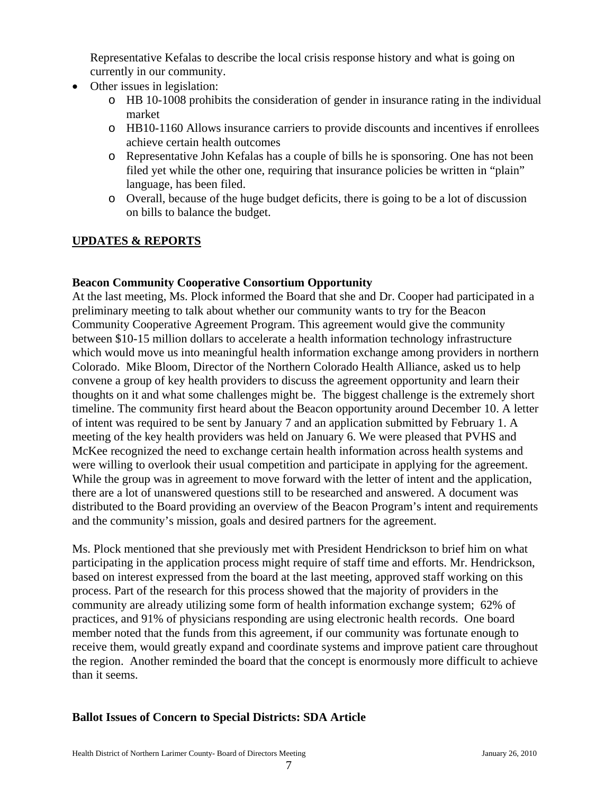Representative Kefalas to describe the local crisis response history and what is going on currently in our community.

- Other issues in legislation:
	- o HB 10-1008 prohibits the consideration of gender in insurance rating in the individual market
	- o HB10-1160 Allows insurance carriers to provide discounts and incentives if enrollees achieve certain health outcomes
	- o Representative John Kefalas has a couple of bills he is sponsoring. One has not been filed yet while the other one, requiring that insurance policies be written in "plain" language, has been filed.
	- o Overall, because of the huge budget deficits, there is going to be a lot of discussion on bills to balance the budget.

# **UPDATES & REPORTS**

## **Beacon Community Cooperative Consortium Opportunity**

At the last meeting, Ms. Plock informed the Board that she and Dr. Cooper had participated in a preliminary meeting to talk about whether our community wants to try for the Beacon Community Cooperative Agreement Program. This agreement would give the community between \$10-15 million dollars to accelerate a health information technology infrastructure which would move us into meaningful health information exchange among providers in northern Colorado. Mike Bloom, Director of the Northern Colorado Health Alliance, asked us to help convene a group of key health providers to discuss the agreement opportunity and learn their thoughts on it and what some challenges might be. The biggest challenge is the extremely short timeline. The community first heard about the Beacon opportunity around December 10. A letter of intent was required to be sent by January 7 and an application submitted by February 1. A meeting of the key health providers was held on January 6. We were pleased that PVHS and McKee recognized the need to exchange certain health information across health systems and were willing to overlook their usual competition and participate in applying for the agreement. While the group was in agreement to move forward with the letter of intent and the application, there are a lot of unanswered questions still to be researched and answered. A document was distributed to the Board providing an overview of the Beacon Program's intent and requirements and the community's mission, goals and desired partners for the agreement.

Ms. Plock mentioned that she previously met with President Hendrickson to brief him on what participating in the application process might require of staff time and efforts. Mr. Hendrickson, based on interest expressed from the board at the last meeting, approved staff working on this process. Part of the research for this process showed that the majority of providers in the community are already utilizing some form of health information exchange system; 62% of practices, and 91% of physicians responding are using electronic health records. One board member noted that the funds from this agreement, if our community was fortunate enough to receive them, would greatly expand and coordinate systems and improve patient care throughout the region. Another reminded the board that the concept is enormously more difficult to achieve than it seems.

# **Ballot Issues of Concern to Special Districts: SDA Article**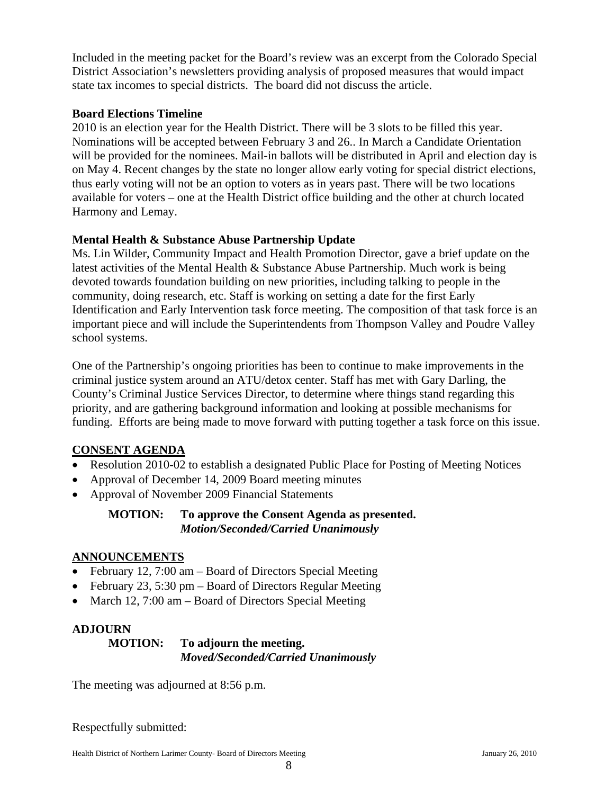Included in the meeting packet for the Board's review was an excerpt from the Colorado Special District Association's newsletters providing analysis of proposed measures that would impact state tax incomes to special districts. The board did not discuss the article.

## **Board Elections Timeline**

2010 is an election year for the Health District. There will be 3 slots to be filled this year. Nominations will be accepted between February 3 and 26.. In March a Candidate Orientation will be provided for the nominees. Mail-in ballots will be distributed in April and election day is on May 4. Recent changes by the state no longer allow early voting for special district elections, thus early voting will not be an option to voters as in years past. There will be two locations available for voters – one at the Health District office building and the other at church located Harmony and Lemay.

#### **Mental Health & Substance Abuse Partnership Update**

Ms. Lin Wilder, Community Impact and Health Promotion Director, gave a brief update on the latest activities of the Mental Health & Substance Abuse Partnership. Much work is being devoted towards foundation building on new priorities, including talking to people in the community, doing research, etc. Staff is working on setting a date for the first Early Identification and Early Intervention task force meeting. The composition of that task force is an important piece and will include the Superintendents from Thompson Valley and Poudre Valley school systems.

One of the Partnership's ongoing priorities has been to continue to make improvements in the criminal justice system around an ATU/detox center. Staff has met with Gary Darling, the County's Criminal Justice Services Director, to determine where things stand regarding this priority, and are gathering background information and looking at possible mechanisms for funding. Efforts are being made to move forward with putting together a task force on this issue.

## **CONSENT AGENDA**

- Resolution 2010-02 to establish a designated Public Place for Posting of Meeting Notices
- Approval of December 14, 2009 Board meeting minutes
- Approval of November 2009 Financial Statements

## **MOTION: To approve the Consent Agenda as presented.**   *Motion/Seconded/Carried Unanimously*

#### **ANNOUNCEMENTS**

- February 12, 7:00 am Board of Directors Special Meeting
- February 23, 5:30 pm Board of Directors Regular Meeting
- March 12, 7:00 am Board of Directors Special Meeting

## **ADJOURN**

#### **MOTION: To adjourn the meeting.** *Moved/Seconded/Carried Unanimously*

The meeting was adjourned at 8:56 p.m.

Respectfully submitted:

Health District of Northern Larimer County- Board of Directors Meeting January 26, 2010